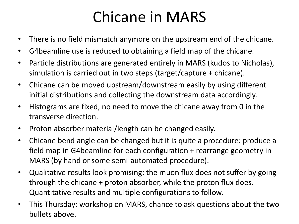### Chicane in MARS

- There is no field mismatch anymore on the upstream end of the chicane.
- G4beamline use is reduced to obtaining a field map of the chicane.
- Particle distributions are generated entirely in MARS (kudos to Nicholas), simulation is carried out in two steps (target/capture + chicane).
- Chicane can be moved upstream/downstream easily by using different initial distributions and collecting the downstream data accordingly.
- Histograms are fixed, no need to move the chicane away from 0 in the transverse direction.
- Proton absorber material/length can be changed easily.
- Chicane bend angle can be changed but it is quite a procedure: produce a field map in G4beamline for each configuration + rearrange geometry in MARS (by hand or some semi-automated procedure).
- Qualitative results look promising: the muon flux does not suffer by going through the chicane + proton absorber, while the proton flux does. Quantitative results and multiple configurations to follow.
- This Thursday: workshop on MARS, chance to ask questions about the two bullets above.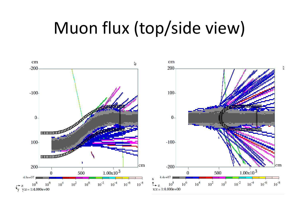## Muon flux (top/side view)

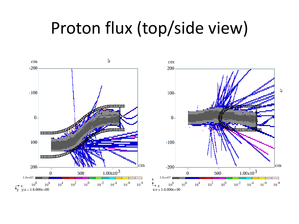## Proton flux (top/side view)

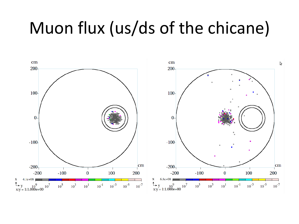# Muon flux (us/ds of the chicane)

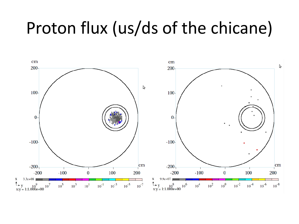## Proton flux (us/ds of the chicane)

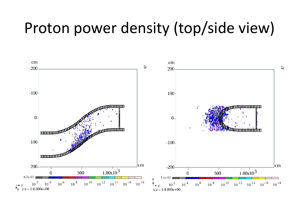#### Proton power density (top/side view)